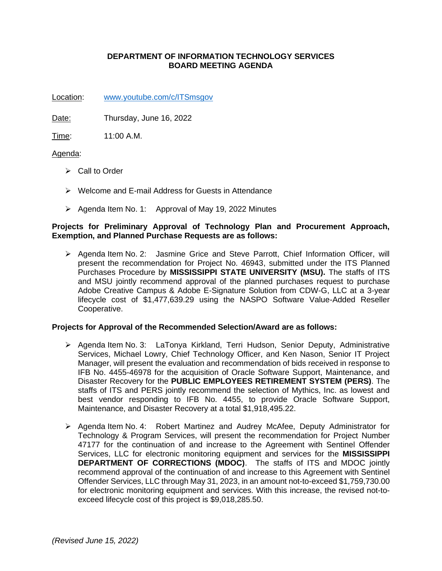# **DEPARTMENT OF INFORMATION TECHNOLOGY SERVICES BOARD MEETING AGENDA**

Location: [www.youtube.com/c/ITSmsgov](http://www.youtube.com/c/ITSmsgov)

Date: Thursday, June 16, 2022

Time: 11:00 A.M.

## Agenda:

- ➢ Call to Order
- ➢ Welcome and E-mail Address for Guests in Attendance
- ➢ Agenda Item No. 1: Approval of May 19, 2022 Minutes

### **Projects for Preliminary Approval of Technology Plan and Procurement Approach, Exemption, and Planned Purchase Requests are as follows:**

➢ Agenda Item No. 2: Jasmine Grice and Steve Parrott, Chief Information Officer, will present the recommendation for Project No. 46943, submitted under the ITS Planned Purchases Procedure by **MISSISSIPPI STATE UNIVERSITY (MSU).** The staffs of ITS and MSU jointly recommend approval of the planned purchases request to purchase Adobe Creative Campus & Adobe E-Signature Solution from CDW-G, LLC at a 3-year lifecycle cost of \$1,477,639.29 using the NASPO Software Value-Added Reseller Cooperative.

#### **Projects for Approval of the Recommended Selection/Award are as follows:**

- ➢ Agenda Item No. 3: LaTonya Kirkland, Terri Hudson, Senior Deputy, Administrative Services, Michael Lowry, Chief Technology Officer, and Ken Nason, Senior IT Project Manager, will present the evaluation and recommendation of bids received in response to IFB No. 4455-46978 for the acquisition of Oracle Software Support, Maintenance, and Disaster Recovery for the **PUBLIC EMPLOYEES RETIREMENT SYSTEM (PERS)**. The staffs of ITS and PERS jointly recommend the selection of Mythics, Inc. as lowest and best vendor responding to IFB No. 4455, to provide Oracle Software Support, Maintenance, and Disaster Recovery at a total \$1,918,495.22.
- ➢ Agenda Item No. 4: Robert Martinez and Audrey McAfee, Deputy Administrator for Technology & Program Services, will present the recommendation for Project Number 47177 for the continuation of and increase to the Agreement with Sentinel Offender Services, LLC for electronic monitoring equipment and services for the **MISSISSIPPI DEPARTMENT OF CORRECTIONS (MDOC)**. The staffs of ITS and MDOC jointly recommend approval of the continuation of and increase to this Agreement with Sentinel Offender Services, LLC through May 31, 2023, in an amount not-to-exceed \$1,759,730.00 for electronic monitoring equipment and services. With this increase, the revised not-toexceed lifecycle cost of this project is \$9,018,285.50.